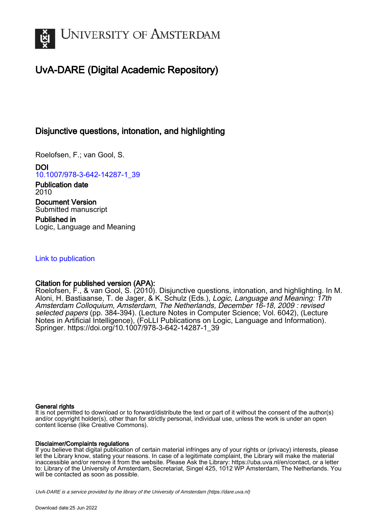

# UvA-DARE (Digital Academic Repository)

## Disjunctive questions, intonation, and highlighting

Roelofsen, F.; van Gool, S.

DOI [10.1007/978-3-642-14287-1\\_39](https://doi.org/10.1007/978-3-642-14287-1_39)

Publication date 2010 Document Version Submitted manuscript

Published in Logic, Language and Meaning

### [Link to publication](https://dare.uva.nl/personal/pure/en/publications/disjunctive-questions-intonation-and-highlighting(4e9d91a7-8767-4015-bb67-3200e7a80231).html)

## Citation for published version (APA):

Roelofsen, F., & van Gool, S. (2010). Disjunctive questions, intonation, and highlighting. In M. Aloni, H. Bastiaanse, T. de Jager, & K. Schulz (Eds.), Logic, Language and Meaning: 17th Amsterdam Colloquium, Amsterdam, The Netherlands, December 16-18, 2009 : revised selected papers (pp. 384-394). (Lecture Notes in Computer Science; Vol. 6042), (Lecture Notes in Artificial Intelligence), (FoLLI Publications on Logic, Language and Information). Springer. [https://doi.org/10.1007/978-3-642-14287-1\\_39](https://doi.org/10.1007/978-3-642-14287-1_39)

#### General rights

It is not permitted to download or to forward/distribute the text or part of it without the consent of the author(s) and/or copyright holder(s), other than for strictly personal, individual use, unless the work is under an open content license (like Creative Commons).

#### Disclaimer/Complaints regulations

If you believe that digital publication of certain material infringes any of your rights or (privacy) interests, please let the Library know, stating your reasons. In case of a legitimate complaint, the Library will make the material inaccessible and/or remove it from the website. Please Ask the Library: https://uba.uva.nl/en/contact, or a letter to: Library of the University of Amsterdam, Secretariat, Singel 425, 1012 WP Amsterdam, The Netherlands. You will be contacted as soon as possible.

UvA-DARE is a service provided by the library of the University of Amsterdam (http*s*://dare.uva.nl)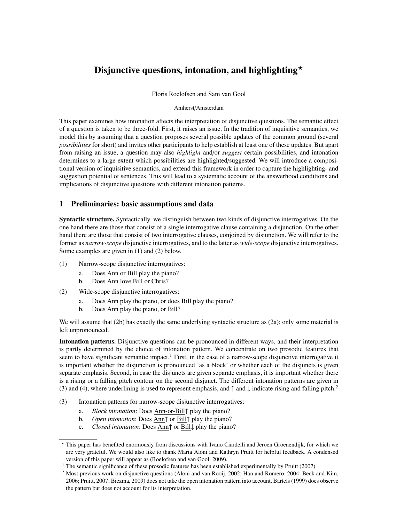## Disjunctive questions, intonation, and highlighting  $\star$

Floris Roelofsen and Sam van Gool

#### Amherst/Amsterdam

This paper examines how intonation affects the interpretation of disjunctive questions. The semantic effect of a question is taken to be three-fold. First, it raises an issue. In the tradition of inquisitive semantics, we model this by assuming that a question proposes several possible updates of the common ground (several *possibilities* for short) and invites other participants to help establish at least one of these updates. But apart from raising an issue, a question may also *highlight* and/or *suggest* certain possibilities, and intonation determines to a large extent which possibilities are highlighted/suggested. We will introduce a compositional version of inquisitive semantics, and extend this framework in order to capture the highlighting- and suggestion potential of sentences. This will lead to a systematic account of the answerhood conditions and implications of disjunctive questions with different intonation patterns.

#### 1 Preliminaries: basic assumptions and data

Syntactic structure. Syntactically, we distinguish between two kinds of disjunctive interrogatives. On the one hand there are those that consist of a single interrogative clause containing a disjunction. On the other hand there are those that consist of two interrogative clauses, conjoined by disjunction. We will refer to the former as *narrow-scope* disjunctive interrogatives, and to the latter as *wide-scope* disjunctive interrogatives. Some examples are given in (1) and (2) below.

- (1) Narrow-scope disjunctive interrogatives:
	- a. Does Ann or Bill play the piano?
	- b. Does Ann love Bill or Chris?
- (2) Wide-scope disjunctive interrogatives:
	- a. Does Ann play the piano, or does Bill play the piano?
	- b. Does Ann play the piano, or Bill?

We will assume that (2b) has exactly the same underlying syntactic structure as (2a); only some material is left unpronounced.

Intonation patterns. Disjunctive questions can be pronounced in different ways, and their interpretation is partly determined by the choice of intonation pattern. We concentrate on two prosodic features that seem to have significant semantic impact.<sup>1</sup> First, in the case of a narrow-scope disjunctive interrogative it is important whether the disjunction is pronounced 'as a block' or whether each of the disjuncts is given separate emphasis. Second, in case the disjuncts are given separate emphasis, it is important whether there is a rising or a falling pitch contour on the second disjunct. The different intonation patterns are given in (3) and (4), where underlining is used to represent emphasis, and  $\uparrow$  and  $\downarrow$  indicate rising and falling pitch.<sup>2</sup>

- (3) Intonation patterns for narrow-scope disjunctive interrogatives:
	- a. *Block intonation*: Does Ann-or-Bill↑ play the piano?
	- b. *Open intonation*: Does Ann↑ or Bill↑ play the piano?
	- c. *Closed intonation*: Does Ann↑ or Bill↓ play the piano?

<sup>?</sup> This paper has benefited enormously from discussions with Ivano Ciardelli and Jeroen Groenendijk, for which we are very grateful. We would also like to thank Maria Aloni and Kathryn Pruitt for helpful feedback. A condensed version of this paper will appear as (Roelofsen and van Gool, 2009).

<sup>&</sup>lt;sup>1</sup> The semantic significance of these prosodic features has been established experimentally by Pruitt (2007).

<sup>&</sup>lt;sup>2</sup> Most previous work on disjunctive questions (Aloni and van Rooij, 2002; Han and Romero, 2004; Beck and Kim, 2006; Pruitt, 2007; Biezma, 2009) does not take the open intonation pattern into account. Bartels (1999) does observe the pattern but does not account for its interpretation.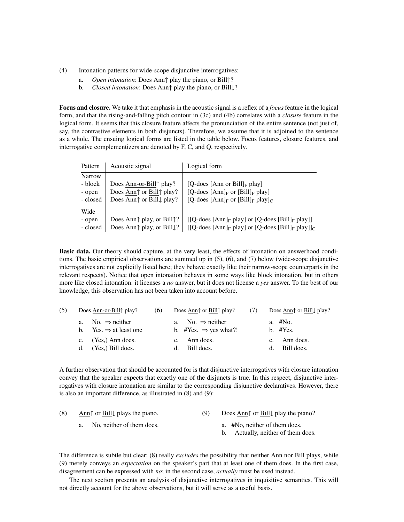- (4) Intonation patterns for wide-scope disjunctive interrogatives:
	- a. *Open intonation*: Does Ann↑ play the piano, or Bill↑?
	- b. *Closed intonation*: Does Ann↑ play the piano, or Bill↓?

Focus and closure. We take it that emphasis in the acoustic signal is a reflex of a *focus* feature in the logical form, and that the rising-and-falling pitch contour in (3c) and (4b) correlates with a *closure* feature in the logical form. It seems that this closure feature affects the pronunciation of the entire sentence (not just of, say, the contrastive elements in both disjuncts). Therefore, we assume that it is adjoined to the sentence as a whole. The ensuing logical forms are listed in the table below. Focus features, closure features, and interrogative complementizers are denoted by F, C, and Q, respectively.

| Pattern       | Acoustic signal                                                      | Logical form                                                         |
|---------------|----------------------------------------------------------------------|----------------------------------------------------------------------|
| <b>Narrow</b> |                                                                      |                                                                      |
| - block       | Does Ann-or-Bill play?                                               | [Q-does [Ann or Bill] <sub>F</sub> play]                             |
| - open        | Does Ann <sup><math>\uparrow</math></sup> or Bill $\uparrow$ play?   | [Q-does $[Ann]_F$ or $[Bill]_F$ play]                                |
| - closed      | Does Ann <sup><math>\uparrow</math></sup> or Bill $\downarrow$ play? | [Q-does [Ann] <sub>F</sub> or [Bill] <sub>F</sub> play] <sub>C</sub> |
| Wide          |                                                                      |                                                                      |
| - open        | Does Ann $\uparrow$ play, or Bill $\uparrow$ ?                       | $[[Q-does [Ann]_F play]$ or $[Q-does [Bill]_F play]]$                |
| - closed      | Does Ann↑ play, or Bill↓?                                            | $[[Q-does [Ann]_F play]$ or $[Q-does [Bill]_F play]]_C$              |

Basic data. Our theory should capture, at the very least, the effects of intonation on answerhood conditions. The basic empirical observations are summed up in (5), (6), and (7) below (wide-scope disjunctive interrogatives are not explicitly listed here; they behave exactly like their narrow-scope counterparts in the relevant respects). Notice that open intonation behaves in some ways like block intonation, but in others more like closed intonation: it licenses a *no* answer, but it does not license a *yes* answer. To the best of our knowledge, this observation has not been taken into account before.

| (5) | Does Ann-or-Bill $\uparrow$ play?                                  | (6) | Does Ann $\uparrow$ or Bill $\uparrow$ play?                      |                       | Does Ann $\uparrow$ or Bill $\downarrow$ play? |  |
|-----|--------------------------------------------------------------------|-----|-------------------------------------------------------------------|-----------------------|------------------------------------------------|--|
|     | a. No. $\Rightarrow$ neither<br>b. Yes. $\Rightarrow$ at least one |     | a. No. $\Rightarrow$ neither<br>b. #Yes. $\Rightarrow$ yes what?! | a. #No.<br>$b.$ #Yes. |                                                |  |
|     | c. $(Yes.)$ Ann does.                                              |     | c. Ann does.                                                      |                       | c. Ann does.                                   |  |
|     | $d.$ (Yes.) Bill does.                                             |     | d. Bill does.                                                     |                       | d. Bill does.                                  |  |

A further observation that should be accounted for is that disjunctive interrogatives with closure intonation convey that the speaker expects that exactly one of the disjuncts is true. In this respect, disjunctive interrogatives with closure intonation are similar to the corresponding disjunctive declaratives. However, there is also an important difference, as illustrated in (8) and (9):

| (8) | Ann $\uparrow$ or Bill $\downarrow$ plays the piano. |  | Does Ann $\uparrow$ or Bill $\downarrow$ play the piano? |  |
|-----|------------------------------------------------------|--|----------------------------------------------------------|--|
|     | a. No, neither of them does.                         |  | a. #No, neither of them does.                            |  |
|     |                                                      |  | b. Actually, neither of them does.                       |  |

The difference is subtle but clear: (8) really *excludes* the possibility that neither Ann nor Bill plays, while (9) merely conveys an *expectation* on the speaker's part that at least one of them does. In the first case, disagreement can be expressed with *no*; in the second case, *actually* must be used instead.

The next section presents an analysis of disjunctive interrogatives in inquisitive semantics. This will not directly account for the above observations, but it will serve as a useful basis.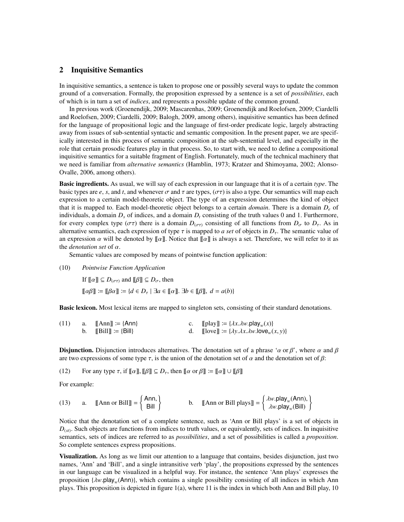#### 2 Inquisitive Semantics

In inquisitive semantics, a sentence is taken to propose one or possibly several ways to update the common ground of a conversation. Formally, the proposition expressed by a sentence is a set of *possibilities*, each of which is in turn a set of *indices*, and represents a possible update of the common ground.

In previous work (Groenendijk, 2009; Mascarenhas, 2009; Groenendijk and Roelofsen, 2009; Ciardelli and Roelofsen, 2009; Ciardelli, 2009; Balogh, 2009, among others), inquisitive semantics has been defined for the language of propositional logic and the language of first-order predicate logic, largely abstracting away from issues of sub-sentential syntactic and semantic composition. In the present paper, we are specifically interested in this process of semantic composition at the sub-sentential level, and especially in the role that certain prosodic features play in that process. So, to start with, we need to define a compositional inquisitive semantics for a suitable fragment of English. Fortunately, much of the technical machinery that we need is familiar from *alternative semantics* (Hamblin, 1973; Kratzer and Shimoyama, 2002; Alonso-Ovalle, 2006, among others).

Basic ingredients. As usual, we will say of each expression in our language that it is of a certain *type*. The basic types are *e*, *s*, and *t*, and whenever  $\sigma$  and  $\tau$  are types, ( $\sigma\tau$ ) is also a type. Our semantics will map each expression to a certain model-theoretic object. The type of an expression determines the kind of object that it is mapped to. Each model-theoretic object belongs to a certain *domain*. There is a domain *D<sup>e</sup>* of individuals, a domain *D<sup>s</sup>* of indices, and a domain *D<sup>t</sup>* consisting of the truth values 0 and 1. Furthermore, for every complex type ( $\sigma\tau$ ) there is a domain  $D_{(\sigma\tau)}$  consisting of all functions from  $D_{\sigma}$  to  $D_{\tau}$ . As in alternative semantics, each expression of type  $\tau$  is mapped to *a set* of objects in  $D_{\tau}$ . The semantic value of an expression  $\alpha$  will be denoted by  $[\![\alpha]\!]$ . Notice that  $[\![\alpha]\!]$  is always a set. Therefore, we will refer to it as the *denotation set* of α.

Semantic values are composed by means of pointwise function application:

(10) *Pointwise Function Application*

If  $[\![\alpha]\!] \subseteq D_{(\sigma\tau)}$  and  $[\![\beta]\!] \subseteq D_{\sigma}$ , then  $\llbracket \alpha \beta \rrbracket := \llbracket \beta \alpha \rrbracket := \{ d \in D_\tau \mid \exists a \in \llbracket \alpha \rrbracket. \exists b \in \llbracket \beta \rrbracket, d = a(b) \}$ 

Basic lexicon. Most lexical items are mapped to singleton sets, consisting of their standard denotations.

| (11) | a. $\ \text{Ann}\  := \{\text{Ann}\}\$<br>b. $\mathbb{B}$ ill $\mathbb{I}$ := {Bill} | c. [[play]] $:= \{\lambda x. \lambda w. \text{play}_w(x)\}\$<br>d. $[\text{love}] := {\lambda y. \lambda x. \lambda w.} \text{love}_w(x, y)$ |
|------|--------------------------------------------------------------------------------------|----------------------------------------------------------------------------------------------------------------------------------------------|
|      |                                                                                      |                                                                                                                                              |

**Disjunction.** Disjunction introduces alternatives. The denotation set of a phrase ' $\alpha$  or  $\beta$ ', where  $\alpha$  and  $\beta$ are two expressions of some type  $\tau$ , is the union of the denotation set of  $\alpha$  and the denotation set of  $\beta$ :

(12) For any type  $\tau$ , if  $\llbracket \alpha \rrbracket$ ,  $\llbracket \beta \rrbracket \subseteq D_{\tau}$ , then  $\llbracket \alpha$  or  $\beta \rrbracket := \llbracket \alpha \rrbracket \cup \llbracket \beta \rrbracket$ 

For example:

(13) a. 
$$
\[\text{Ann or Bill}\] = \begin{Bmatrix} \text{Ann,} \\ \text{Bill} \end{Bmatrix}\]
$$
 b.  $\[\text{Ann or Bill plays}\] = \begin{Bmatrix} \lambda w.\text{play}_w(\text{Ann}), \\ \lambda w.\text{play}_w(\text{Bill}) \end{Bmatrix}$ 

Notice that the denotation set of a complete sentence, such as 'Ann or Bill plays' is a set of objects in  $D_{(st)}$ . Such objects are functions from indices to truth values, or equivalently, sets of indices. In inquisitive semantics, sets of indices are referred to as *possibilities*, and a set of possibilities is called a *proposition*. So complete sentences express propositions.

Visualization. As long as we limit our attention to a language that contains, besides disjunction, just two names, 'Ann' and 'Bill', and a single intransitive verb 'play', the propositions expressed by the sentences in our language can be visualized in a helpful way. For instance, the sentence 'Ann plays' expresses the proposition  $\{\lambda w$ .play<sub>*w*</sub>(Ann)}, which contains a single possibility consisting of all indices in which Ann<br>plays. This proposition is depicted in figure 1(a), where 11 is the index in which both Ann and Bill play, 10 plays. This proposition is depicted in figure  $1(a)$ , where 11 is the index in which both Ann and Bill play, 10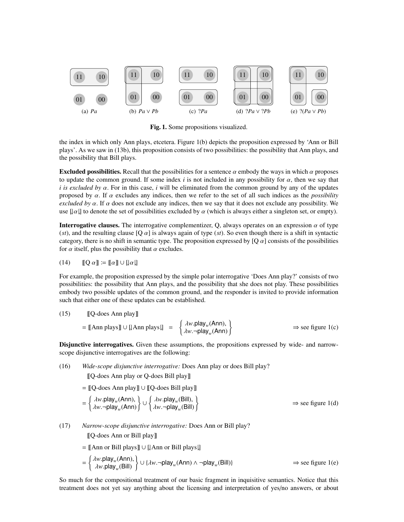

Fig. 1. Some propositions visualized.

the index in which only Ann plays, etcetera. Figure 1(b) depicts the proposition expressed by 'Ann or Bill plays'. As we saw in (13b), this proposition consists of two possibilities: the possibility that Ann plays, and the possibility that Bill plays.

**Excluded possibilities.** Recall that the possibilities for a sentence  $\alpha$  embody the ways in which  $\alpha$  proposes to update the common ground. If some index  $i$  is not included in any possibility for  $\alpha$ , then we say that *i is excluded by* α. For in this case, *<sup>i</sup>* will be eliminated from the common ground by any of the updates proposed by  $\alpha$ . If  $\alpha$  excludes any indices, then we refer to the set of all such indices as the *possibility excluded by*  $\alpha$ . If  $\alpha$  does not exclude any indices, then we say that it does not exclude any possibility. We use  $[\alpha]$  to denote the set of possibilities excluded by  $\alpha$  (which is always either a singleton set, or empty).

**Interrogative clauses.** The interrogative complementizer, Q, always operates on an expression  $\alpha$  of type (*st*), and the resulting clause [Q  $\alpha$ ] is always again of type (*st*). So even though there is a shift in syntactic category, there is no shift in semantic type. The proposition expressed by  $[Q \alpha]$  consists of the possibilities for  $\alpha$  itself, plus the possibility that  $\alpha$  excludes.

$$
(14) \qquad [\![Q \alpha]\!] \coloneqq [\![\alpha]\!] \cup [\![\alpha]\!]
$$

For example, the proposition expressed by the simple polar interrogative 'Does Ann play?' consists of two possibilities: the possibility that Ann plays, and the possibility that she does not play. These possibilities embody two possible updates of the common ground, and the responder is invited to provide information such that either one of these updates can be established.

(15) 
$$
\llbracket Q\text{-does Ann play} \rrbracket
$$

$$
= \llbracket \text{Ann plays} \rrbracket \cup \llbracket \text{Ann plays} \rrbracket = \begin{cases} \lambda w.\text{play}_w(\text{Ann}), \\ \lambda w.\neg \text{play}_w(\text{Ann}) \end{cases} \implies \text{see figure 1(c)}
$$

Disjunctive interrogatives. Given these assumptions, the propositions expressed by wide- and narrowscope disjunctive interrogatives are the following:

(16) *Wide-scope disjunctive interrogative:* Does Ann play or does Bill play?

[[Q-does Ann play or Q-does Bill play]]

= [[Q-does Ann play]] ∪ [[Q-does Bill play]]

$$
= \begin{cases} \lambda w. \text{play}_{w}(\text{Ann}), \\ \lambda w. \neg \text{play}_{w}(\text{Ann}) \end{cases} \cup \begin{cases} \lambda w. \text{play}_{w}(\text{Bill}), \\ \lambda w. \neg \text{play}_{w}(\text{Bill}) \end{cases} \Rightarrow \text{see figure 1(d)}
$$

(17) *Narrow-scope disjunctive interrogative:* Does Ann or Bill play?

[[Q-does Ann or Bill play]]

= [[Ann or Bill plays]] ∪ [Ann or Bill plays]

$$
= \begin{cases} \lambda w. \text{play}_{w}(\text{Ann}), \\ \lambda w. \text{play}_{w}(\text{Bill}) \end{cases} \cup \{ \lambda w. \neg \text{play}_{w}(\text{Ann}) \land \neg \text{play}_{w}(\text{Bill}) \} \implies \text{see figure 1(e)}
$$

So much for the compositional treatment of our basic fragment in inquisitive semantics. Notice that this treatment does not yet say anything about the licensing and interpretation of yes/no answers, or about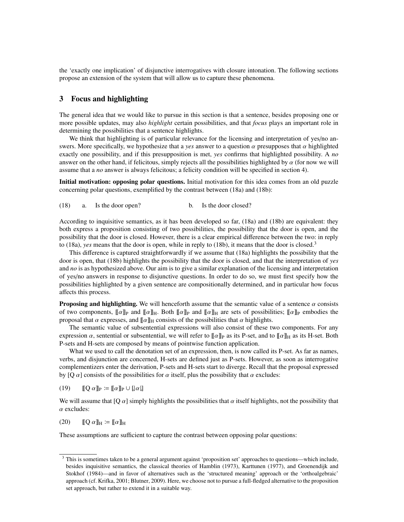the 'exactly one implication' of disjunctive interrogatives with closure intonation. The following sections propose an extension of the system that will allow us to capture these phenomena.

#### 3 Focus and highlighting

The general idea that we would like to pursue in this section is that a sentence, besides proposing one or more possible updates, may also *highlight* certain possibilities, and that *focus* plays an important role in determining the possibilities that a sentence highlights.

We think that highlighting is of particular relevance for the licensing and interpretation of yes/no answers. More specifically, we hypothesize that a *yes* answer to a question  $\alpha$  presupposes that  $\alpha$  highlighted exactly one possibility, and if this presupposition is met, *yes* confirms that highlighted possibility. A *no* answer on the other hand, if felicitous, simply rejects all the possibilities highlighted by  $\alpha$  (for now we will assume that a *no* answer is always felicitous; a felicity condition will be specified in section 4).

Initial motivation: opposing polar questions. Initial motivation for this idea comes from an old puzzle concerning polar questions, exemplified by the contrast between (18a) and (18b):

(18) a. Is the door open? b. Is the door closed?

According to inquisitive semantics, as it has been developed so far, (18a) and (18b) are equivalent: they both express a proposition consisting of two possibilities, the possibility that the door is open, and the possibility that the door is closed. However, there is a clear empirical difference between the two: in reply to (18a), *yes* means that the door is open, while in reply to (18b), it means that the door is closed.<sup>3</sup>

This difference is captured straightforwardly if we assume that (18a) highlights the possibility that the door is open, that (18b) highlights the possibility that the door is closed, and that the interpretation of *yes* and *no* is as hypothesized above. Our aim is to give a similar explanation of the licensing and interpretation of yes/no answers in response to disjunctive questions. In order to do so, we must first specify how the possibilities highlighted by a given sentence are compositionally determined, and in particular how focus affects this process.

**Proposing and highlighting.** We will henceforth assume that the semantic value of a sentence  $\alpha$  consists of two components,  $[\![\alpha]\!]_P$  and  $[\![\alpha]\!]_H$ . Both  $[\![\alpha]\!]_P$  and  $[\![\alpha]\!]_H$  are sets of possibilities;  $[\![\alpha]\!]_P$  embodies the proposal that  $\alpha$  expresses, and  $\llbracket \alpha \rrbracket_H$  consists of the possibilities that  $\alpha$  highlights.

The semantic value of subsentential expressions will also consist of these two components. For any expression  $\alpha$ , sentential or subsentential, we will refer to  $\llbracket \alpha \rrbracket_P$  as its P-set, and to  $\llbracket \alpha \rrbracket_H$  as its H-set. Both P-sets and H-sets are composed by means of pointwise function application.

What we used to call the denotation set of an expression, then, is now called its P-set. As far as names, verbs, and disjunction are concerned, H-sets are defined just as P-sets. However, as soon as interrogative complementizers enter the derivation, P-sets and H-sets start to diverge. Recall that the proposal expressed by [Q  $\alpha$ ] consists of the possibilities for  $\alpha$  itself, plus the possibility that  $\alpha$  excludes:

(19)  $\mathbb{I} \mathbb{O} \alpha \mathbb{I}_P \coloneqq \mathbb{I} \alpha \mathbb{I}_P \cup [\alpha \mathbb{I}]$ 

We will assume that  $[Q \alpha]$  simply highlights the possibilities that  $\alpha$  itself highlights, not the possibility that  $\alpha$  excludes:

$$
(20) \qquad [\![Q \alpha]\!]_H \coloneqq [\![\alpha]\!]_H
$$

These assumptions are sufficient to capture the contrast between opposing polar questions:

<sup>3</sup> This is sometimes taken to be a general argument against 'proposition set' approaches to questions—which include, besides inquisitive semantics, the classical theories of Hamblin (1973), Karttunen (1977), and Groenendijk and Stokhof (1984)—and in favor of alternatives such as the 'structured meaning' approach or the 'orthoalgebraic' approach (cf. Krifka, 2001; Blutner, 2009). Here, we choose not to pursue a full-fledged alternative to the proposition set approach, but rather to extend it in a suitable way.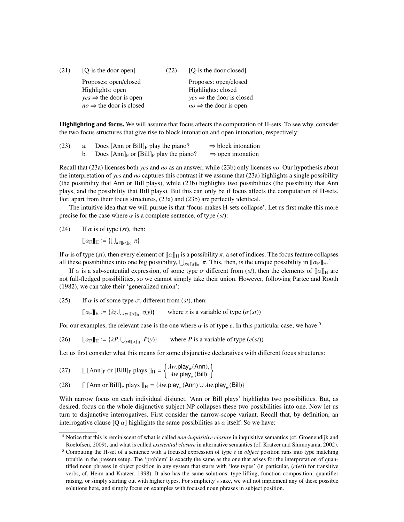| (21) | [Q-is the door open]                | (22) | [O-is the door closed]               |
|------|-------------------------------------|------|--------------------------------------|
|      | Proposes: open/closed               |      | Proposes: open/closed                |
|      | Highlights: open                    |      | Highlights: closed                   |
|      | $yes \Rightarrow$ the door is open  |      | $yes \Rightarrow$ the door is closed |
|      | $no \Rightarrow$ the door is closed |      | $no \Rightarrow$ the door is open    |

Highlighting and focus. We will assume that focus affects the computation of H-sets. To see why, consider the two focus structures that give rise to block intonation and open intonation, respectively:

| (23) | Does [Ann or Bill] $_F$ play the piano?      | $\Rightarrow$ block intonation |
|------|----------------------------------------------|--------------------------------|
|      | Does $[Ann]_F$ or $[Bill]_F$ play the piano? | $\Rightarrow$ open intonation  |

Recall that (23a) licenses both *yes* and *no* as an answer, while (23b) only licenses *no*. Our hypothesis about the interpretation of *yes* and *no* captures this contrast if we assume that (23a) highlights a single possibility (the possibility that Ann or Bill plays), while (23b) highlights two possibilities (the possibility that Ann plays, and the possibility that Bill plays). But this can only be if focus affects the computation of H-sets. For, apart from their focus structures, (23a) and (23b) are perfectly identical.

The intuitive idea that we will pursue is that 'focus makes H-sets collapse'. Let us first make this more precise for the case where  $\alpha$  is a complete sentence, of type (*st*):

(24) If  $\alpha$  is of type (*st*), then:

 $[\![\alpha_F]\!]_H \coloneqq {\{\bigcup_{\pi \in [\![\alpha]\!]_H} \pi\}}$ 

If  $\alpha$  is of type (*st*), then every element of  $[\![\alpha]\!]_H$  is a possibility  $\pi$ , a set of indices. The focus feature collapses all these possibilities into one big possibility,  $\bigcup_{\pi \in [\![a]\!]_H} \pi$ . This, then, is the unique possibility in  $[\![\alpha_F]\!]_H$ .<sup>4</sup>

If  $\alpha$  is a sub-sentential expression, of some type  $\sigma$  different from (*st*), then the elements of  $\llbracket \alpha \rrbracket_H$  are not full-fledged possibilities, so we cannot simply take their union. However, following Partee and Rooth (1982), we can take their 'generalized union':

(25) If  $\alpha$  is of some type  $\sigma$ , different from (*st*), then:

 $[\![\alpha_F]\!]_H \coloneqq {\{\lambda z.\bigcup_{y\in [\![\alpha]\!]_H}}}$ where *z* is a variable of type  $(\sigma(st))$ 

For our examples, the relevant case is the one where  $\alpha$  is of type  $e$ . In this particular case, we have:<sup>5</sup>

 $(26)$   $\left[\![\alpha_F]\!\right]_H := \{ \lambda P. \bigcup_{y \in [\![\alpha]\!]_H}$ where *P* is a variable of type  $(e(st))$ 

Let us first consider what this means for some disjunctive declaratives with different focus structures:

(27) 
$$
\mathbb{I}[\text{Ann}]_{\text{F}} \text{ or } [\text{Bill}]_{\text{F}} \text{ plays } \mathbb{J}_{\text{H}} = \begin{cases} \lambda w.\text{play}_{w}(\text{Ann}), \\ \lambda w.\text{play}_{w}(\text{Bill}) \end{cases}
$$

(28) [[ [Ann or Bill]<sub>F</sub> plays  $\mathbb{I}_{H} = \{\lambda w.\text{play}_{w}(\text{Ann}) \cup \lambda w.\text{play}_{w}(\text{Bill})\}$ 

With narrow focus on each individual disjunct, 'Ann or Bill plays' highlights two possibilities. But, as desired, focus on the whole disjunctive subject NP collapses these two possibilities into one. Now let us turn to disjunctive interrogatives. First consider the narrow-scope variant. Recall that, by definition, an interrogative clause [Q  $\alpha$ ] highlights the same possibilities as  $\alpha$  itself. So we have:

<sup>4</sup> Notice that this is reminiscent of what is called *non-inquisitive closure* in inquisitive semantics (cf. Groenendijk and Roelofsen, 2009), and what is called *existential closure* in alternative semantics (cf. Kratzer and Shimoyama, 2002).

<sup>5</sup> Computing the H-set of a sentence with a focused expression of type *e* in *object* position runs into type matching trouble in the present setup. The 'problem' is exactly the same as the one that arises for the interpretation of quantified noun phrases in object position in any system that starts with 'low types' (in particular, (*e*(*et*)) for transitive verbs, cf. Heim and Kratzer, 1998). It also has the same solutions: type-lifting, function composition, quantifier raising, or simply starting out with higher types. For simplicity's sake, we will not implement any of these possible solutions here, and simply focus on examples with focused noun phrases in subject position.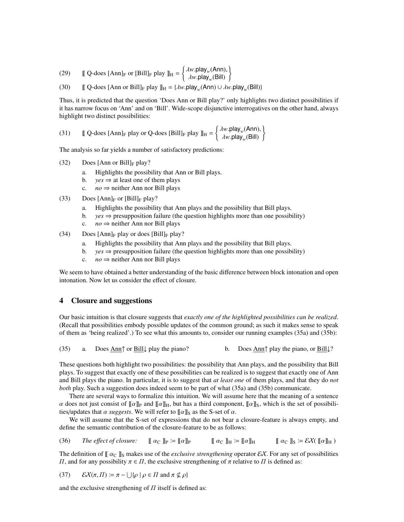(29)  $\left[ \int Q\text{-does }[\text{Ann}]_F \text{ or }[\text{Bill}]_F \text{ play } \right]_H = \begin{cases} \lambda w \text{, play } w \text{, } (\text{Ann}) \\ \lambda w \text{, play } (\text{Bill}) \end{cases}$ <sup>λ</sup>*w*.play*<sup>w</sup>* (Bill) )

(30)  $\left[ \left[ \right] \mathbb{Q}$ -does  $\left[ \text{Ann or Bill} \right]_F$  play  $\left[ \right]_H = \{ \lambda w. \text{play}_w(\text{Ann}) \cup \lambda w. \text{play}_w(\text{Bill}) \}$ 

Thus, it is predicted that the question 'Does Ann or Bill play?' only highlights two distinct possibilities if it has narrow focus on 'Ann' and on 'Bill'. Wide-scope disjunctive interrogatives on the other hand, always highlight two distinct possibilities:

(31) 
$$
\mathbb{I} \text{ Q-does } [\text{Ann}]_{\text{F}} \text{ play or Q-does } [\text{Bill}]_{\text{F}} \text{ play } \mathbb{I}_{\text{H}} = \begin{cases} \lambda w.\text{play}_{w}(\text{Ann}), \\ \lambda w.\text{play}_{w}(\text{Bill}) \end{cases}
$$

The analysis so far yields a number of satisfactory predictions:

- $(32)$  Does [Ann or Bill]<sub>F</sub> play?
	- a. Highlights the possibility that Ann or Bill plays.
	- b. *yes*  $\Rightarrow$  at least one of them plays
	- c.  $no \Rightarrow$  neither Ann nor Bill plays
- (33) Does  $[Ann]_F$  or  $[Bill]_F$  play?
	- a. Highlights the possibility that Ann plays and the possibility that Bill plays.
	- b.  $yes \Rightarrow \text{presupposition failure}$  (the question highlights more than one possibility)
	- c.  $no \Rightarrow$  neither Ann nor Bill plays
- (34) Does  $[Ann]_F$  play or does  $[Bill]_F$  play?
	- a. Highlights the possibility that Ann plays and the possibility that Bill plays.
	- b.  $y \text{ }\mathrm{y} \text{ }\mathrm{y}$   $\Rightarrow$  presupposition failure (the question highlights more than one possibility)
	- c.  $no \Rightarrow$  neither Ann nor Bill plays

We seem to have obtained a better understanding of the basic difference between block intonation and open intonation. Now let us consider the effect of closure.

#### 4 Closure and suggestions

Our basic intuition is that closure suggests that *exactly one of the highlighted possibilities can be realized*. (Recall that possibilities embody possible updates of the common ground; as such it makes sense to speak of them as 'being realized'.) To see what this amounts to, consider our running examples (35a) and (35b):

$$
(35) \qquad a
$$

(35) a. Does Ann↑ or Bill↓ play the piano? b. Does Ann↑ play the piano, or Bill↓?

These questions both highlight two possibilities: the possibility that Ann plays, and the possibility that Bill plays. To suggest that exactly one of these possibilities can be realized is to suggest that exactly one of Ann and Bill plays the piano. In particular, it is to suggest that *at least one* of them plays, and that they do *not both* play. Such a suggestion does indeed seem to be part of what (35a) and (35b) communicate.

There are several ways to formalize this intuition. We will assume here that the meaning of a sentence  $\alpha$  does not just consist of  $\llbracket \alpha \rrbracket_P$  and  $\llbracket \alpha \rrbracket_H$ , but has a third component,  $\llbracket \alpha \rrbracket_S$ , which is the set of possibilities/updates that  $\alpha$  *suggests*. We will refer to  $\llbracket \alpha \rrbracket$ <sub>S</sub> as the S-set of  $\alpha$ .

We will assume that the S-set of expressions that do not bear a closure-feature is always empty, and define the semantic contribution of the closure-feature to be as follows:

(36) *The effect of closure:*  $[\![\alpha_{\mathbb{C}}]\!]_P := [\![\alpha]\!]_P$   $[\![\alpha_{\mathbb{C}}]\!]_H := [\![\alpha]\!]_H$   $[\![\alpha_{\mathbb{C}}]\!]_S := \mathcal{EX}([\![\alpha]\!]_H)$ 

The definition of  $\[\alpha_{\text{C}}\]_S$  makes use of the *exclusive strengthening* operator  $\mathcal{E}X$ . For any set of possibilities  $\Pi$ , and for any possibility  $π ∈ Π$ , the exclusive strengthening of π relative to  $\Pi$  is defined as:

(37)  $\mathcal{E}X(\pi,\Pi) := \pi - \bigcup \{ \rho \mid \rho \in \Pi \text{ and } \pi \nsubseteq \rho \}$ 

and the exclusive strengthening of  $\Pi$  itself is defined as: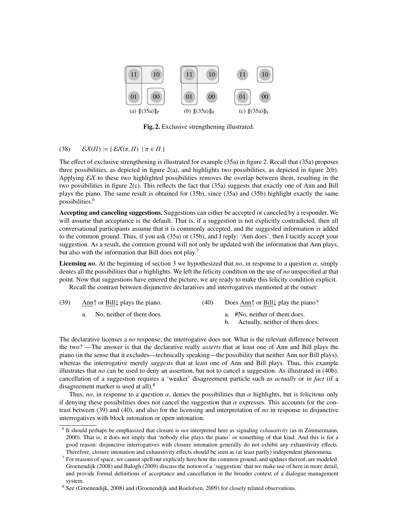

Fig. 2. Exclusive strengthening illustrated.

#### (38)  $\mathcal{E}X(\Pi) \coloneqq {\mathcal{E}X(\pi,\Pi) \mid \pi \in \Pi}$

The effect of exclusive strengthening is illustrated for example (35a) in figure 2. Recall that (35a) proposes three possibilities, as depicted in figure 2(a), and highlights two possibilities, as depicted in figure 2(b). Applying  $\mathcal{E}X$  to these two highlighted possibilities removes the overlap between them, resulting in the two possibilities in figure 2(c). This reflects the fact that (35a) suggests that exactly one of Ann and Bill plays the piano. The same result is obtained for (35b), since (35a) and (35b) highlight exactly the same possibilities.<sup>6</sup>

Accepting and canceling suggestions. Suggestions can either be accepted or canceled by a responder. We will assume that acceptance is the default. That is, if a suggestion is not explicitly contradicted, then all conversational participants assume that it is commonly accepted, and the suggested information is added to the common ground. Thus, if you ask (35a) or (35b), and I reply: 'Ann does', then I tacitly accept your suggestion. As a result, the common ground will not only be updated with the information that Ann plays, but also with the information that Bill does not play.<sup>7</sup>

**Licensing** *no*. At the beginning of section 3 we hypothesized that *no*, in response to a question  $\alpha$ , simply denies all the possibilities that α highlights. We left the felicity condition on the use of *no* unspecified at that point. Now that suggestions have entered the picture, we are ready to make this felicity condition explicit. Recall the contrast between disjunctive declaratives and interrogatives mentioned at the outset:

| (39) | Ann $\uparrow$ or Bill $\downarrow$ plays the piano.<br>(40) |  | Does Ann $\uparrow$ or Bill $\downarrow$ play the piano? |
|------|--------------------------------------------------------------|--|----------------------------------------------------------|
|      | a. No, neither of them does.                                 |  | a. #No, neither of them does.                            |
|      |                                                              |  | Actually, neither of them does.                          |

The declarative licenses a *no* response; the interrogative does not. What is the relevant difference between the two? —The answer is that the declarative really *asserts* that at least one of Ann and Bill plays the piano (in the sense that it excludes—technically speaking—the possibility that neither Ann nor Bill plays), whereas the interrogative merely *suggests* that at least one of Ann and Bill plays. Thus, this example illustrates that *no* can be used to deny an assertion, but not to cancel a suggestion. As illustrated in (40b), cancellation of a suggestion requires a 'weaker' disagreement particle such as *actually* or *in fact* (if a disagreement marker is used at all).<sup>8</sup>

Thus, *no*, in response to a question  $\alpha$ , denies the possibilities that  $\alpha$  highlights, but is felicitous only if denying these possibilities does not cancel the suggestion that  $\alpha$  expresses. This accounts for the contrast between (39) and (40), and also for the licensing and interpretation of *no* in response to disjunctive interrogatives with block intonation or open intonation.

<sup>6</sup> It should perhaps be emphasized that closure is *not* interpreted here as signaling *exhaustivity* (as in Zimmermann, 2000). That is, it does not imply that 'nobody else plays the piano' or something of that kind. And this is for a good reason: disjunctive interrogatives with closure intonation generally do not exhibit any exhaustivity effects. Therefore, closure intonation and exhaustivity effects should be seen as (at least partly) independent phenomena.

 $<sup>7</sup>$  For reasons of space, we cannot spell out explicitly here how the common ground, and updates thereof, are modeled.</sup> Groenendijk (2008) and Balogh (2009) discuss the notion of a 'suggestion' that we make use of here in more detail, and provide formal definitions of acceptance and cancellation in the broader context of a dialogue management system.

<sup>&</sup>lt;sup>8</sup> See (Groenendijk, 2008) and (Groenendijk and Roelofsen, 2009) for closely related observations.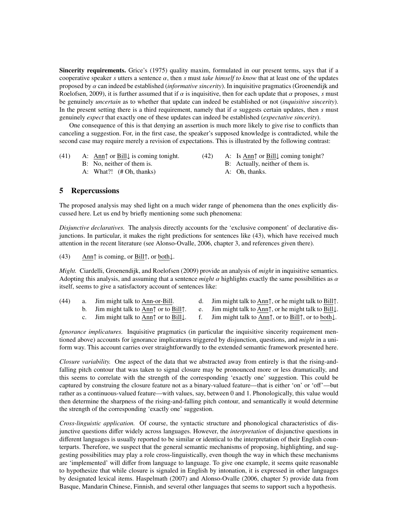Sincerity requirements. Grice's (1975) quality maxim, formulated in our present terms, says that if a cooperative speaker *<sup>s</sup>* utters a sentence α, then *<sup>s</sup>* must *take himself to know* that at least one of the updates proposed by  $\alpha$  can indeed be established *(informative sincerity)*. In inquisitive pragmatics (Groenendijk and Roelofsen, 2009), it is further assumed that if  $\alpha$  is inquisitive, then for each update that  $\alpha$  proposes, *s* must be genuinely *uncertain* as to whether that update can indeed be established or not (*inquisitive sincerity*). In the present setting there is a third requirement, namely that if  $\alpha$  suggests certain updates, then  $\beta$  must genuinely *expect* that exactly one of these updates can indeed be established (*expectative sincerity*).

One consequence of this is that denying an assertion is much more likely to give rise to conflicts than canceling a suggestion. For, in the first case, the speaker's supposed knowledge is contradicted, while the second case may require merely a revision of expectations. This is illustrated by the following contrast:

- (41) A: Ann↑ or Bill $\downarrow$  is coming tonight.
	- B: No, neither of them is.
	- A: What?! (# Oh, thanks)
- (42) A: Is Ann↑ or Bill↓ coming tonight? B: Actually, neither of them is.
	- A: Oh, thanks.

#### 5 Repercussions

The proposed analysis may shed light on a much wider range of phenomena than the ones explicitly discussed here. Let us end by briefly mentioning some such phenomena:

*Disjunctive declaratives.* The analysis directly accounts for the 'exclusive component' of declarative disjunctions. In particular, it makes the right predictions for sentences like (43), which have received much attention in the recent literature (see Alonso-Ovalle, 2006, chapter 3, and references given there).

(43) Ann↑ is coming, or Bill↑, or both↓.

*Might.* Ciardelli, Groenendijk, and Roelofsen (2009) provide an analysis of *might* in inquisitive semantics. Adopting this analysis, and assuming that a sentence *might*  $\alpha$  highlights exactly the same possibilities as  $\alpha$ itself, seems to give a satisfactory account of sentences like:

- (44) a. Jim might talk to Ann-or-Bill.
- d. Jim might talk to Ann↑, or he might talk to Bill↑.
- b. Jim might talk to Ann↑ or to Bill↑.
- e. Jim might talk to Ann↑, or he might talk to Bill↓. f. Jim might talk to Ann↑, or to Bill↑, or to both↓.
- c. Jim might talk to Ann↑ or to Bill↓.
- 

*Ignorance implicatures.* Inquisitive pragmatics (in particular the inquisitive sincerity requirement mentioned above) accounts for ignorance implicatures triggered by disjunction, questions, and *might* in a uniform way. This account carries over straightforwardly to the extended semantic framework presented here.

*Closure variability.* One aspect of the data that we abstracted away from entirely is that the rising-andfalling pitch contour that was taken to signal closure may be pronounced more or less dramatically, and this seems to correlate with the strength of the corresponding 'exactly one' suggestion. This could be captured by construing the closure feature not as a binary-valued feature—that is either 'on' or 'off'—but rather as a continuous-valued feature—with values, say, between 0 and 1. Phonologically, this value would then determine the sharpness of the rising-and-falling pitch contour, and semantically it would determine the strength of the corresponding 'exactly one' suggestion.

*Cross-linguistic application.* Of course, the syntactic structure and phonological characteristics of disjunctive questions differ widely across languages. However, the *interpretation* of disjunctive questions in different languages is usually reported to be similar or identical to the interpretation of their English counterparts. Therefore, we suspect that the general semantic mechanisms of proposing, highlighting, and suggesting possibilities may play a role cross-linguistically, even though the way in which these mechanisms are 'implemented' will differ from language to language. To give one example, it seems quite reasonable to hypothesize that while closure is signaled in English by intonation, it is expressed in other languages by designated lexical items. Haspelmath (2007) and Alonso-Ovalle (2006, chapter 5) provide data from Basque, Mandarin Chinese, Finnish, and several other languages that seems to support such a hypothesis.